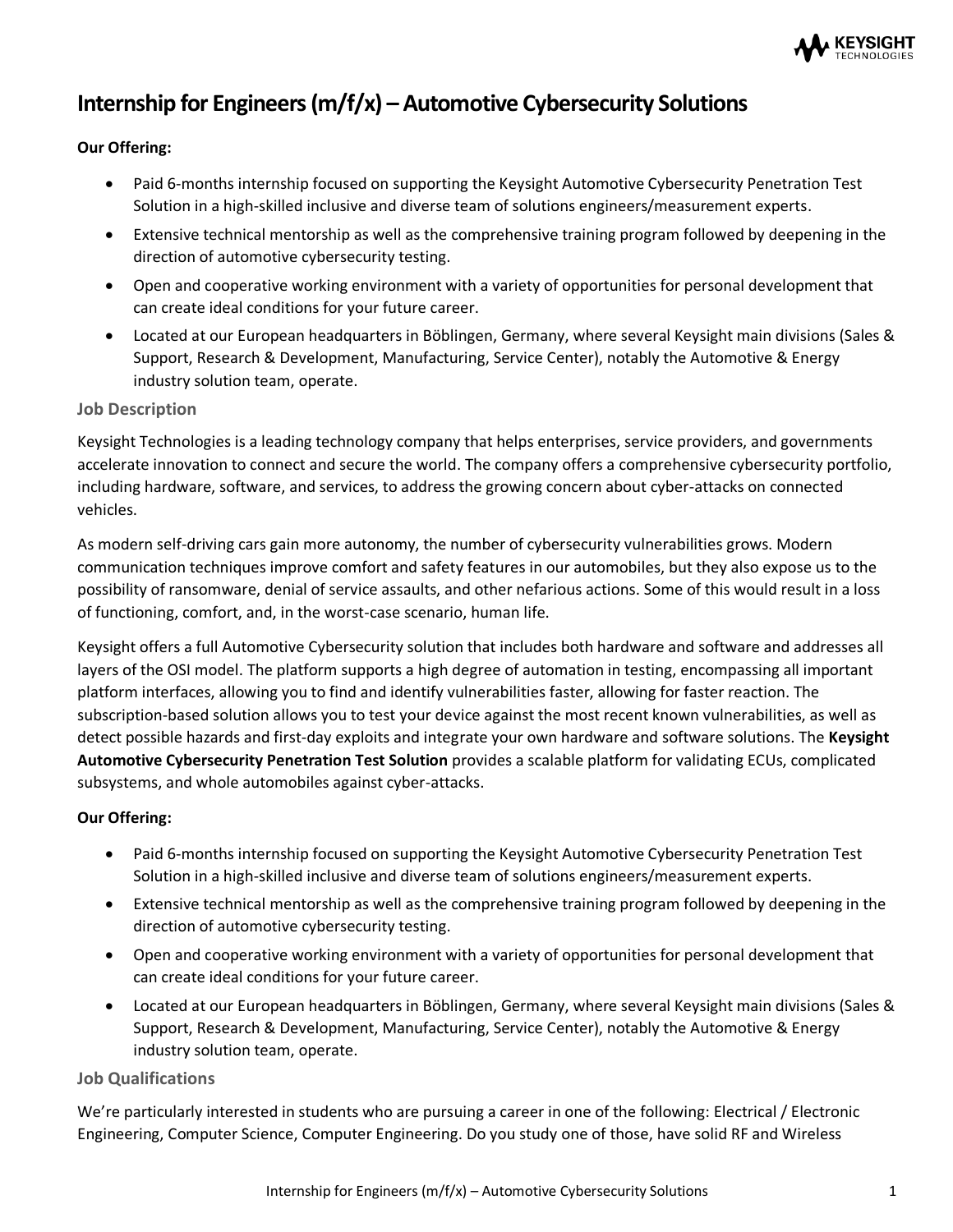

# **Internship for Engineers (m/f/x) – Automotive Cybersecurity Solutions**

### **Our Offering:**

- Paid 6-months internship focused on supporting the Keysight Automotive Cybersecurity Penetration Test Solution in a high-skilled inclusive and diverse team of solutions engineers/measurement experts.
- Extensive technical mentorship as well as the comprehensive training program followed by deepening in the direction of automotive cybersecurity testing.
- Open and cooperative working environment with a variety of opportunities for personal development that can create ideal conditions for your future career.
- Located at our European headquarters in Böblingen, Germany, where several Keysight main divisions (Sales & Support, Research & Development, Manufacturing, Service Center), notably the Automotive & Energy industry solution team, operate.

#### **Job Description**

Keysight Technologies is a leading technology company that helps enterprises, service providers, and governments accelerate innovation to connect and secure the world. The company offers a comprehensive cybersecurity portfolio, including hardware, software, and services, to address the growing concern about cyber-attacks on connected vehicles.

As modern self-driving cars gain more autonomy, the number of cybersecurity vulnerabilities grows. Modern communication techniques improve comfort and safety features in our automobiles, but they also expose us to the possibility of ransomware, denial of service assaults, and other nefarious actions. Some of this would result in a loss of functioning, comfort, and, in the worst-case scenario, human life.

Keysight offers a full Automotive Cybersecurity solution that includes both hardware and software and addresses all layers of the OSI model. The platform supports a high degree of automation in testing, encompassing all important platform interfaces, allowing you to find and identify vulnerabilities faster, allowing for faster reaction. The subscription-based solution allows you to test your device against the most recent known vulnerabilities, as well as detect possible hazards and first-day exploits and integrate your own hardware and software solutions. The **Keysight Automotive Cybersecurity Penetration Test Solution** provides a scalable platform for validating ECUs, complicated subsystems, and whole automobiles against cyber-attacks.

# **Our Offering:**

- Paid 6-months internship focused on supporting the Keysight Automotive Cybersecurity Penetration Test Solution in a high-skilled inclusive and diverse team of solutions engineers/measurement experts.
- Extensive technical mentorship as well as the comprehensive training program followed by deepening in the direction of automotive cybersecurity testing.
- Open and cooperative working environment with a variety of opportunities for personal development that can create ideal conditions for your future career.
- Located at our European headquarters in Böblingen, Germany, where several Keysight main divisions (Sales & Support, Research & Development, Manufacturing, Service Center), notably the Automotive & Energy industry solution team, operate.

# **Job Qualifications**

We're particularly interested in students who are pursuing a career in one of the following: Electrical / Electronic Engineering, Computer Science, Computer Engineering. Do you study one of those, have solid RF and Wireless